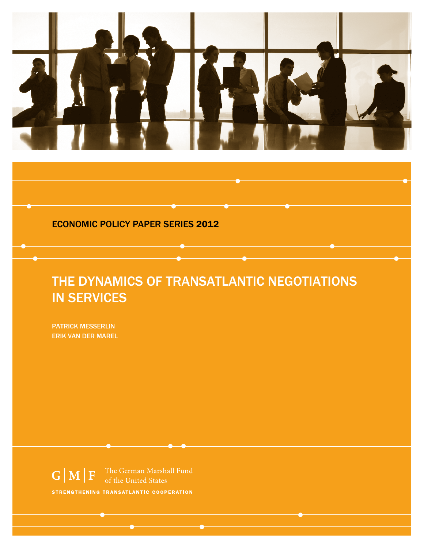

## Economic POlicy Paper Series 2012

# The Dynamics of Transatlantic Negotiations in Services

Patrick Messerlin Erik van der Marel

 $G|M|F$ of the United States STRENGTHENING TRANSATLANTIC COOPERATION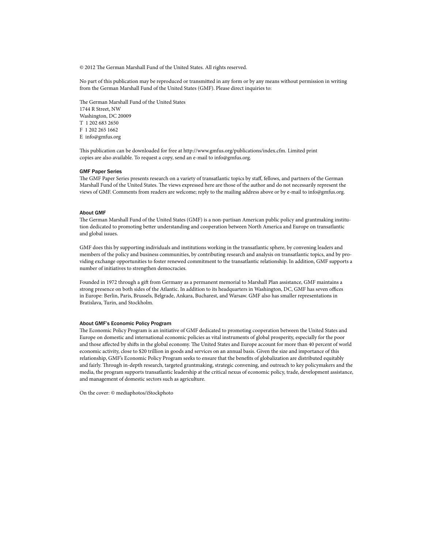© 2012 The German Marshall Fund of the United States. All rights reserved.

No part of this publication may be reproduced or transmitted in any form or by any means without permission in writing from the German Marshall Fund of the United States (GMF). Please direct inquiries to:

The German Marshall Fund of the United States 1744 R Street, NW Washington, DC 20009 T 1 202 683 2650 F 1 202 265 1662 E info@gmfus.org

This publication can be downloaded for free at http://www.gmfus.org/publications/index.cfm. Limited print copies are also available. To request a copy, send an e-mail to info@gmfus.org.

#### GMF Paper Series

The GMF Paper Series presents research on a variety of transatlantic topics by staff, fellows, and partners of the German Marshall Fund of the United States. The views expressed here are those of the author and do not necessarily represent the views of GMF. Comments from readers are welcome; reply to the mailing address above or by e-mail to info@gmfus.org.

#### About GMF

The German Marshall Fund of the United States (GMF) is a non-partisan American public policy and grantmaking institution dedicated to promoting better understanding and cooperation between North America and Europe on transatlantic and global issues.

GMF does this by supporting individuals and institutions working in the transatlantic sphere, by convening leaders and members of the policy and business communities, by contributing research and analysis on transatlantic topics, and by providing exchange opportunities to foster renewed commitment to the transatlantic relationship. In addition, GMF supports a number of initiatives to strengthen democracies.

Founded in 1972 through a gift from Germany as a permanent memorial to Marshall Plan assistance, GMF maintains a strong presence on both sides of the Atlantic. In addition to its headquarters in Washington, DC, GMF has seven offices in Europe: Berlin, Paris, Brussels, Belgrade, Ankara, Bucharest, and Warsaw. GMF also has smaller representations in Bratislava, Turin, and Stockholm.

#### About GMF's Economic Policy Program

The Economic Policy Program is an initiative of GMF dedicated to promoting cooperation between the United States and Europe on domestic and international economic policies as vital instruments of global prosperity, especially for the poor and those affected by shifts in the global economy. The United States and Europe account for more than 40 percent of world economic activity, close to \$20 trillion in goods and services on an annual basis. Given the size and importance of this relationship, GMF's Economic Policy Program seeks to ensure that the benefits of globalization are distributed equitably and fairly. Through in-depth research, targeted grantmaking, strategic convening, and outreach to key policymakers and the media, the program supports transatlantic leadership at the critical nexus of economic policy, trade, development assistance, and management of domestic sectors such as agriculture.

On the cover: © mediaphotos/iStockphoto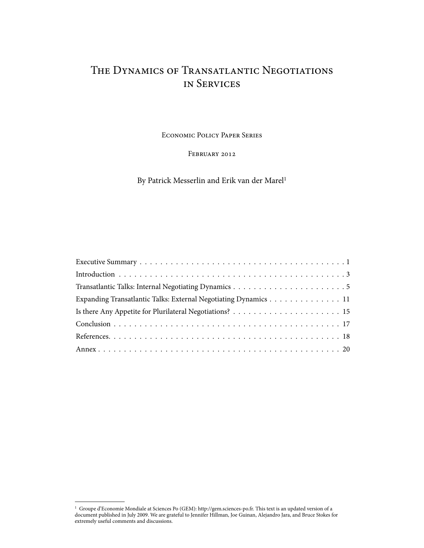# The Dynamics of Transatlantic Negotiations in Services

Economic Policy Paper Series

FEBRUARY 2012

By Patrick Messerlin and Erik van der Marel<sup>1</sup>

| Expanding Transatlantic Talks: External Negotiating Dynamics 11 |
|-----------------------------------------------------------------|
|                                                                 |
|                                                                 |
|                                                                 |
|                                                                 |

<sup>1</sup> Groupe d'Economie Mondiale at Sciences Po (GEM): http://gem.sciences-po.fr. This text is an updated version of a document published in July 2009. We are grateful to Jennifer Hillman, Joe Guinan, Alejandro Jara, and Bruce Stokes for extremely useful comments and discussions.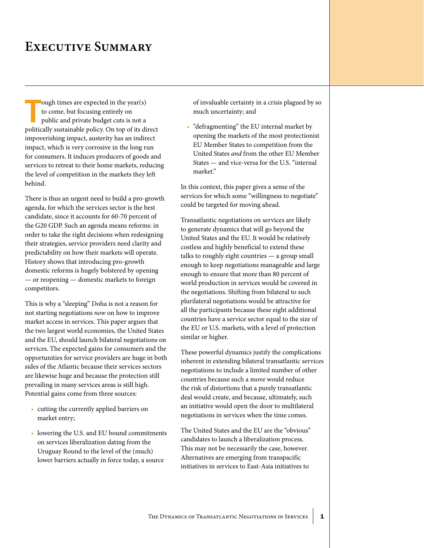# **Executive Summary**

ough times are expected in the year(s)<br>to come, but focusing entirely on<br>public and private budget cuts is not a<br>politically sustainable policy. On top of its direct ough times are expected in the year(s) to come, but focusing entirely on public and private budget cuts is not a impoverishing impact, austerity has an indirect impact, which is very corrosive in the long run for consumers. It induces producers of goods and services to retreat to their home markets, reducing the level of competition in the markets they left behind.

There is thus an urgent need to build a pro-growth agenda, for which the services sector is the best candidate, since it accounts for 60-70 percent of the G20 GDP. Such an agenda means reforms: in order to take the right decisions when redesigning their strategies, service providers need clarity and predictability on how their markets will operate. History shows that introducing pro-growth domestic reforms is hugely bolstered by opening — or reopening — domestic markets to foreign competitors.

This is why a "sleeping" Doha is not a reason for not starting negotiations *now* on how to improve market access in services. This paper argues that the two largest world economies, the United States and the EU, should launch bilateral negotiations on services. The expected gains for consumers and the opportunities for service providers are huge in both sides of the Atlantic because their services sectors are likewise huge and because the protection still prevailing in many services areas is still high. Potential gains come from three sources:

- cutting the currently applied barriers on market entry;
- • lowering the U.S. and EU bound commitments on services liberalization dating from the Uruguay Round to the level of the (much) lower barriers actually in force today, a source

of invaluable certainty in a crisis plagued by so much uncertainty; and

• "defragmenting" the EU internal market by opening the markets of the most protectionist EU Member States to competition from the United States *and* from the other EU Member States — and vice-versa for the U.S. "internal market."

In this context, this paper gives a sense of the services for which some "willingness to negotiate" could be targeted for moving ahead.

Transatlantic negotiations on services are likely to generate dynamics that will go beyond the United States and the EU. It would be relatively costless and highly beneficial to extend these talks to roughly eight countries — a group small enough to keep negotiations manageable and large enough to ensure that more than 80 percent of world production in services would be covered in the negotiations. Shifting from bilateral to such plurilateral negotiations would be attractive for all the participants because these eight additional countries have a service sector equal to the size of the EU or U.S. markets, with a level of protection similar or higher.

These powerful dynamics justify the complications inherent in extending bilateral transatlantic services negotiations to include a limited number of other countries because such a move would reduce the risk of distortions that a purely transatlantic deal would create, and because, ultimately, such an initiative would open the door to multilateral negotiations in services when the time comes.

The United States and the EU are the "obvious" candidates to launch a liberalization process. This may not be necessarily the case, however. Alternatives are emerging from transpacific initiatives in services to East-Asia initiatives to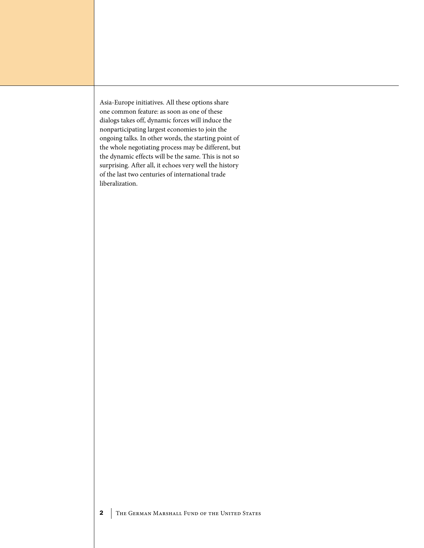Asia-Europe initiatives. All these options share one common feature: as soon as one of these dialogs takes off, dynamic forces will induce the nonparticipating largest economies to join the ongoing talks. In other words, the starting point of the whole negotiating process may be different, but the dynamic effects will be the same. This is not so surprising. After all, it echoes very well the history of the last two centuries of international trade liberalization.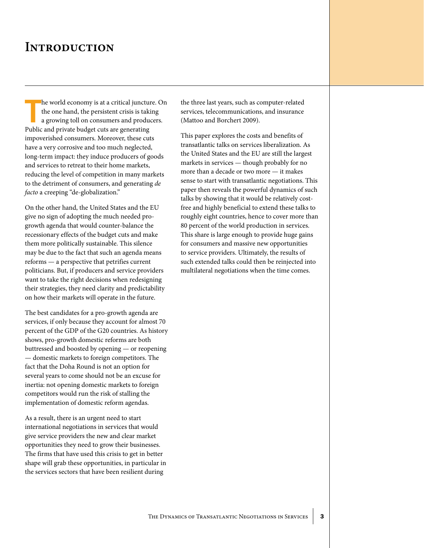# **INTRODUCTION**

he world economy is at a critical juncture<br>the one hand, the persistent crisis is taki<br>a growing toll on consumers and produce<br>Public and private budget cuts are generating he world economy is at a critical juncture. On the one hand, the persistent crisis is taking a growing toll on consumers and producers. impoverished consumers. Moreover, these cuts have a very corrosive and too much neglected, long-term impact: they induce producers of goods and services to retreat to their home markets, reducing the level of competition in many markets to the detriment of consumers, and generating *de facto* a creeping "de-globalization."

On the other hand, the United States and the EU give no sign of adopting the much needed progrowth agenda that would counter-balance the recessionary effects of the budget cuts and make them more politically sustainable. This silence may be due to the fact that such an agenda means reforms — a perspective that petrifies current politicians. But, if producers and service providers want to take the right decisions when redesigning their strategies, they need clarity and predictability on how their markets will operate in the future.

The best candidates for a pro-growth agenda are services, if only because they account for almost 70 percent of the GDP of the G20 countries. As history shows, pro-growth domestic reforms are both buttressed and boosted by opening — or reopening — domestic markets to foreign competitors. The fact that the Doha Round is not an option for several years to come should not be an excuse for inertia: not opening domestic markets to foreign competitors would run the risk of stalling the implementation of domestic reform agendas.

As a result, there is an urgent need to start international negotiations in services that would give service providers the new and clear market opportunities they need to grow their businesses. The firms that have used this crisis to get in better shape will grab these opportunities, in particular in the services sectors that have been resilient during

the three last years, such as computer-related services, telecommunications, and insurance (Mattoo and Borchert 2009).

This paper explores the costs and benefits of transatlantic talks on services liberalization. As the United States and the EU are still the largest markets in services — though probably for no more than a decade or two more — it makes sense to start with transatlantic negotiations. This paper then reveals the powerful dynamics of such talks by showing that it would be relatively costfree and highly beneficial to extend these talks to roughly eight countries, hence to cover more than 80 percent of the world production in services. This share is large enough to provide huge gains for consumers and massive new opportunities to service providers. Ultimately, the results of such extended talks could then be reinjected into multilateral negotiations when the time comes.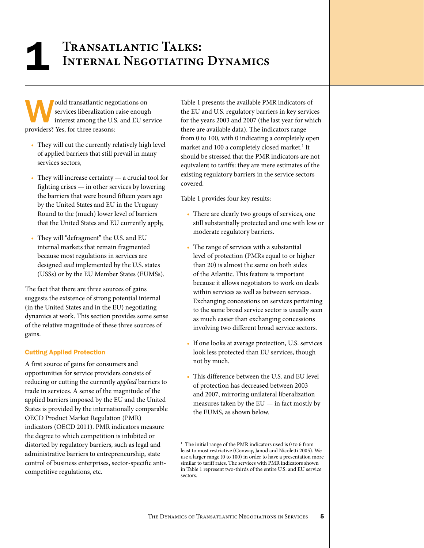# **Transatlantic Talks:** 1 **Internal Negotiating Dynamics**

ould transatlantic negotiations on services liberalization raise enough interest among the U.S. and EU service providers? Yes, for three reasons:

- They will cut the currently relatively high level of applied barriers that still prevail in many services sectors,
- $\bullet$  They will increase certainty  $-$  a crucial tool for fighting crises — in other services by lowering the barriers that were bound fifteen years ago by the United States and EU in the Uruguay Round to the (much) lower level of barriers that the United States and EU currently apply,
- • They will "defragment" the U.S. and EU internal markets that remain fragmented because most regulations in services are designed *and* implemented by the U.S. states (USSs) or by the EU Member States (EUMSs).

The fact that there are three sources of gains suggests the existence of strong potential internal (in the United States and in the EU) negotiating dynamics at work. This section provides some sense of the relative magnitude of these three sources of gains.

### Cutting Applied Protection

A first source of gains for consumers and opportunities for service providers consists of reducing or cutting the currently *applied* barriers to trade in services. A sense of the magnitude of the applied barriers imposed by the EU and the United States is provided by the internationally comparable OECD Product Market Regulation (PMR) indicators (OECD 2011). PMR indicators measure the degree to which competition is inhibited or distorted by regulatory barriers, such as legal and administrative barriers to entrepreneurship, state control of business enterprises, sector-specific anticompetitive regulations, etc.

Table 1 presents the available PMR indicators of the EU and U.S. regulatory barriers in key services for the years 2003 and 2007 (the last year for which there are available data). The indicators range from 0 to 100, with 0 indicating a completely open market and 100 a completely closed market.<sup>1</sup> It should be stressed that the PMR indicators are not equivalent to tariffs: they are mere estimates of the existing regulatory barriers in the service sectors covered.

Table 1 provides four key results:

- There are clearly two groups of services, one still substantially protected and one with low or moderate regulatory barriers.
- • The range of services with a substantial level of protection (PMRs equal to or higher than 20) is almost the same on both sides of the Atlantic. This feature is important because it allows negotiators to work on deals within services as well as between services. Exchanging concessions on services pertaining to the same broad service sector is usually seen as much easier than exchanging concessions involving two different broad service sectors.
- • If one looks at average protection, U.S. services look less protected than EU services, though not by much.
- This difference between the U.S. and EU level of protection has decreased between 2003 and 2007, mirroring unilateral liberalization measures taken by the EU — in fact mostly by the EUMS, as shown below.

 $1$  The initial range of the PMR indicators used is 0 to 6 from least to most restrictive (Conway, Janod and Nicoletti 2005). We use a larger range (0 to 100) in order to have a presentation more similar to tariff rates. The services with PMR indicators shown in Table 1 represent two-thirds of the entire U.S. and EU service sectors.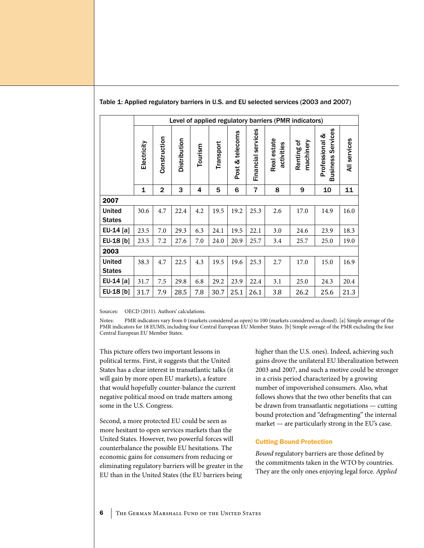|                                |             |                |              |                                                                                                          |      |           |                                               | Level of applied regulatory barriers (PMR indicators) |      |      |      |
|--------------------------------|-------------|----------------|--------------|----------------------------------------------------------------------------------------------------------|------|-----------|-----------------------------------------------|-------------------------------------------------------|------|------|------|
|                                | Electricity | Construction   | Distribution | Financial services<br>Post & telecoms<br>Real estate<br>Renting of<br>Transport<br>activities<br>Tourism |      | machinery | Services<br>Professional &<br><b>Business</b> | All services                                          |      |      |      |
|                                | 1           | $\overline{2}$ | 3            | 4                                                                                                        | 5    | 6         | 7                                             | 8                                                     | 9    | 10   | 11   |
| 2007                           |             |                |              |                                                                                                          |      |           |                                               |                                                       |      |      |      |
| <b>United</b><br><b>States</b> | 30.6        | 4.7            | 22.4         | 4.2                                                                                                      | 19.5 | 19.2      | 25.3                                          | 2.6                                                   | 17.0 | 14.9 | 16.0 |
| EU-14 [a]                      | 23.5        | 7.0            | 29.3         | 6.3                                                                                                      | 24.1 | 19.5      | 22.1                                          | 3.0                                                   | 24.6 | 23.9 | 18.3 |
| EU-18 [b]                      | 23.5        | 7.2            | 27.6         | 7.0                                                                                                      | 24.0 | 20.9      | 25.7                                          | 3.4                                                   | 25.7 | 25.0 | 19.0 |
| 2003                           |             |                |              |                                                                                                          |      |           |                                               |                                                       |      |      |      |
| <b>United</b>                  | 38.3        | 4.7            | 22.5         | 4.3                                                                                                      | 19.5 | 19.6      | 25.3                                          | 2.7                                                   | 17.0 | 15.0 | 16.9 |
| <b>States</b>                  |             |                |              |                                                                                                          |      |           |                                               |                                                       |      |      |      |
| EU-14 [a]                      | 31.7        | 7.5            | 29.8         | 6.8                                                                                                      | 29.2 | 23.9      | 22.4                                          | 3.1                                                   | 25.0 | 24.3 | 20.4 |
| EU-18 [b]                      | 31.7        | 7.9            | 28.5         | 7.8                                                                                                      | 30.7 | 25.1      | 26.1                                          | 3.8                                                   | 26.2 | 25.6 | 21.3 |

### Table 1: Applied regulatory barriers in U.S. and EU selected services (2003 and 2007)

Sources: OECD (2011). Authors' calculations.

Notes: PMR indicators vary from 0 (markets considered as open) to 100 (markets considered as closed). [a] Simple average of the PMR indicators for 18 EUMS, including four Central European EU Member States. [b] Simple average of the PMR excluding the four Central European EU Member States.

This picture offers two important lessons in political terms. First, it suggests that the United States has a clear interest in transatlantic talks (it will gain by more open EU markets), a feature that would hopefully counter-balance the current negative political mood on trade matters among some in the U.S. Congress.

Second, a more protected EU could be seen as more hesitant to open services markets than the United States. However, two powerful forces will counterbalance the possible EU hesitations. The economic gains for consumers from reducing or eliminating regulatory barriers will be greater in the EU than in the United States (the EU barriers being

higher than the U.S. ones). Indeed, achieving such gains drove the unilateral EU liberalization between 2003 and 2007, and such a motive could be stronger in a crisis period characterized by a growing number of impoverished consumers. Also, what follows shows that the two other benefits that can be drawn from transatlantic negotiations — cutting bound protection and "defragmenting" the internal market — are particularly strong in the EU's case.

### Cutting Bound Protection

*Bound* regulatory barriers are those defined by the commitments taken in the WTO by countries. They are the only ones enjoying legal force. *Applied*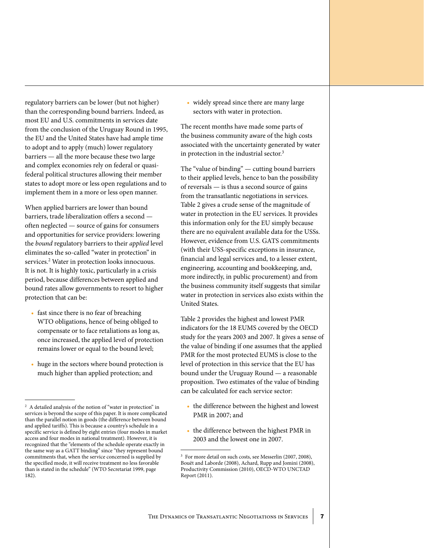The Dynamics of Transatlantic Negotiations in Services 7

regulatory barriers can be lower (but not higher) than the corresponding bound barriers. Indeed, as most EU and U.S. commitments in services date from the conclusion of the Uruguay Round in 1995, the EU and the United States have had ample time to adopt and to apply (much) lower regulatory barriers — all the more because these two large and complex economies rely on federal or quasifederal political structures allowing their member states to adopt more or less open regulations and to implement them in a more or less open manner.

When applied barriers are lower than bound barriers, trade liberalization offers a second often neglected — source of gains for consumers and opportunities for service providers: lowering the *bound* regulatory barriers to their *applied* level eliminates the so-called "water in protection" in services.<sup>2</sup> Water in protection looks innocuous. It is not. It is highly toxic, particularly in a crisis period, because differences between applied and bound rates allow governments to resort to higher protection that can be:

- fast since there is no fear of breaching WTO obligations, hence of being obliged to compensate or to face retaliations as long as, once increased, the applied level of protection remains lower or equal to the bound level;
- huge in the sectors where bound protection is much higher than applied protection; and

• widely spread since there are many large sectors with water in protection.

The recent months have made some parts of the business community aware of the high costs associated with the uncertainty generated by water in protection in the industrial sector.<sup>3</sup>

The "value of binding" — cutting bound barriers to their applied levels, hence to ban the possibility of reversals — is thus a second source of gains from the transatlantic negotiations in services. Table 2 gives a crude sense of the magnitude of water in protection in the EU services. It provides this information only for the EU simply because there are no equivalent available data for the USSs. However, evidence from U.S. GATS commitments (with their USS-specific exceptions in insurance, financial and legal services and, to a lesser extent, engineering, accounting and bookkeeping, and, more indirectly, in public procurement) and from the business community itself suggests that similar water in protection in services also exists within the United States.

Table 2 provides the highest and lowest PMR indicators for the 18 EUMS covered by the OECD study for the years 2003 and 2007. It gives a sense of the value of binding if one assumes that the applied PMR for the most protected EUMS is close to the level of protection in this service that the EU has bound under the Uruguay Round — a reasonable proposition. Two estimates of the value of binding can be calculated for each service sector:

- the difference between the highest and lowest PMR in 2007; and
- the difference between the highest PMR in 2003 and the lowest one in 2007.

 $^{\rm 2}$  A detailed analysis of the notion of "water in protection" in services is beyond the scope of this paper. It is more complicated than the parallel notion in goods (the difference between bound and applied tariffs). This is because a country's schedule in a specific service is defined by eight entries (four modes in market access and four modes in national treatment). However, it is recognized that the "elements of the schedule operate exactly in the same way as a GATT binding" since "they represent bound commitments that, when the service concerned is supplied by the specified mode, it will receive treatment no less favorable than is stated in the schedule" (WTO Secretariat 1999, page 182).

<sup>3</sup> For more detail on such costs, see Messerlin (2007, 2008), Bouët and Laborde (2008), Achard, Rupp and Jomini (2008), Productivity Commission (2010), OECD-WTO UNCTAD Report (2011).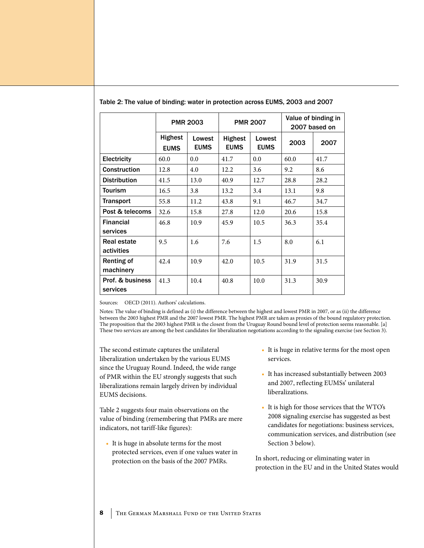|                                  |                               | <b>PMR 2003</b>       |                               | <b>PMR 2007</b>       |      | Value of binding in<br>2007 based on |
|----------------------------------|-------------------------------|-----------------------|-------------------------------|-----------------------|------|--------------------------------------|
|                                  | <b>Highest</b><br><b>EUMS</b> | Lowest<br><b>EUMS</b> | <b>Highest</b><br><b>EUMS</b> | Lowest<br><b>EUMS</b> | 2003 | 2007                                 |
| <b>Electricity</b>               | 60.0                          | 0.0                   | 41.7                          | 0.0                   | 60.0 | 41.7                                 |
| <b>Construction</b>              | 12.8                          | 4.0                   | 12.2                          | 3.6                   | 9.2  | 8.6                                  |
| <b>Distribution</b>              | 41.5                          | 13.0                  | 40.9                          | 12.7                  | 28.8 | 28.2                                 |
| <b>Tourism</b>                   | 16.5                          | 3.8                   | 13.2                          | 3.4                   | 13.1 | 9.8                                  |
| <b>Transport</b>                 | 55.8                          | 11.2                  | 43.8                          | 9.1                   | 46.7 | 34.7                                 |
| Post & telecoms                  | 32.6                          | 15.8                  | 27.8                          | 12.0                  | 20.6 | 15.8                                 |
| <b>Financial</b><br>services     | 46.8                          | 10.9                  | 45.9                          | 10.5                  | 36.3 | 35.4                                 |
| <b>Real estate</b><br>activities | 9.5                           | 1.6                   | 7.6                           | 1.5                   | 8.0  | 6.1                                  |
| Renting of<br>machinery          | 42.4                          | 10.9                  | 42.0                          | 10.5                  | 31.9 | 31.5                                 |
| Prof. & business<br>services     | 41.3                          | 10.4                  | 40.8                          | 10.0                  | 31.3 | 30.9                                 |

Table 2: The value of binding: water in protection across EUMS, 2003 and 2007

Sources: OECD (2011). Authors' calculations.

Notes: The value of binding is defined as (i) the difference between the highest and lowest PMR in 2007, or as (ii) the difference between the 2003 highest PMR and the 2007 lowest PMR. The highest PMR are taken as proxies of the bound regulatory protection. The proposition that the 2003 highest PMR is the closest from the Uruguay Round bound level of protection seems reasonable. [a] These two services are among the best candidates for liberalization negotiations according to the signaling exercise (see Section 3).

The second estimate captures the unilateral liberalization undertaken by the various EUMS since the Uruguay Round. Indeed, the wide range of PMR within the EU strongly suggests that such liberalizations remain largely driven by individual EUMS decisions.

Table 2 suggests four main observations on the value of binding (remembering that PMRs are mere indicators, not tariff-like figures):

• It is huge in absolute terms for the most protected services, even if one values water in protection on the basis of the 2007 PMRs.

- It is huge in relative terms for the most open services.
- It has increased substantially between 2003 and 2007, reflecting EUMSs' unilateral liberalizations.
- • It is high for those services that the WTO's 2008 signaling exercise has suggested as best candidates for negotiations: business services, communication services, and distribution (see Section 3 below).

In short, reducing or eliminating water in protection in the EU and in the United States would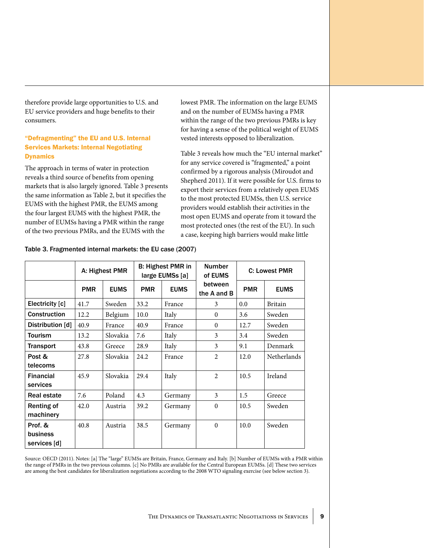therefore provide large opportunities to U.S. and EU service providers and huge benefits to their consumers.

## "Defragmenting" the EU and U.S. Internal Services Markets: Internal Negotiating **Dynamics**

The approach in terms of water in protection reveals a third source of benefits from opening markets that is also largely ignored. Table 3 presents the same information as Table 2, but it specifies the EUMS with the highest PMR, the EUMS among the four largest EUMS with the highest PMR, the number of EUMSs having a PMR within the range of the two previous PMRs, and the EUMS with the

lowest PMR. The information on the large EUMS and on the number of EUMSs having a PMR within the range of the two previous PMRs is key for having a sense of the political weight of EUMS vested interests opposed to liberalization.

Table 3 reveals how much the "EU internal market" for any service covered is "fragmented," a point confirmed by a rigorous analysis (Miroudot and Shepherd 2011). If it were possible for U.S. firms to export their services from a relatively open EUMS to the most protected EUMSs, then U.S. service providers would establish their activities in the most open EUMS and operate from it toward the most protected ones (the rest of the EU). In such a case, keeping high barriers would make little

|                     |            | A: Highest PMR |            | B: Highest PMR in<br>large EUMSs [a] | <b>Number</b><br>of EUMS |            | C: Lowest PMR      |
|---------------------|------------|----------------|------------|--------------------------------------|--------------------------|------------|--------------------|
|                     | <b>PMR</b> | <b>EUMS</b>    | <b>PMR</b> | <b>EUMS</b>                          | between<br>the A and B   | <b>PMR</b> | <b>EUMS</b>        |
| Electricity [c]     | 41.7       | Sweden         | 33.2       | France                               | 3                        | 0.0        | <b>Britain</b>     |
| <b>Construction</b> | 12.2       | Belgium        | 10.0       | Italy                                | $\Omega$                 | 3.6        | Sweden             |
| Distribution [d]    | 40.9       | France         | 40.9       | France                               | $\theta$                 | 12.7       | Sweden             |
| <b>Tourism</b>      | 13.2       | Slovakia       | 7.6        | Italy                                | 3                        | 3.4        | Sweden             |
| <b>Transport</b>    | 43.8       | Greece         | 28.9       | Italy                                | 3                        | 9.1        | Denmark            |
| Post &              | 27.8       | Slovakia       | 24.2       | France                               | $\overline{2}$           | 12.0       | <b>Netherlands</b> |
| telecoms            |            |                |            |                                      |                          |            |                    |
| <b>Financial</b>    | 45.9       | Slovakia       | 29.4       | Italy                                | $\overline{2}$           | 10.5       | Ireland            |
| services            |            |                |            |                                      |                          |            |                    |
| Real estate         | 7.6        | Poland         | 4.3        | Germany                              | 3                        | 1.5        | Greece             |
| Renting of          | 42.0       | Austria        | 39.2       | Germany                              | $\theta$                 | 10.5       | Sweden             |
| machinery           |            |                |            |                                      |                          |            |                    |
| Prof. &             | 40.8       | Austria        | 38.5       | Germany                              | $\theta$                 | 10.0       | Sweden             |
| business            |            |                |            |                                      |                          |            |                    |
| services [d]        |            |                |            |                                      |                          |            |                    |

Table 3. Fragmented internal markets: the EU case (2007)

Source: OECD (2011). Notes: [a] The "large" EUMSs are Britain, France, Germany and Italy. [b] Number of EUMSs with a PMR within the range of PMRs in the two previous columns. [c] No PMRs are available for the Central European EUMSs. [d] These two services are among the best candidates for liberalization negotiations according to the 2008 WTO signaling exercise (see below section 3).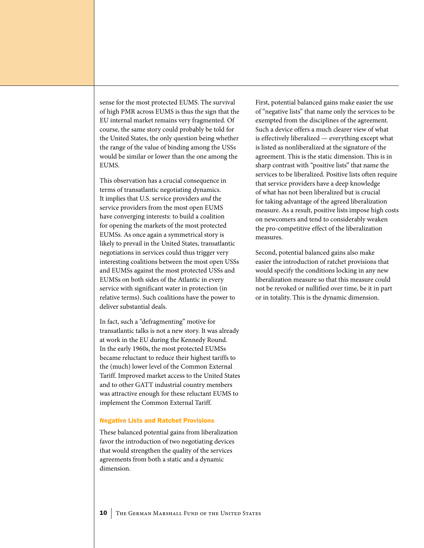sense for the most protected EUMS. The survival of high PMR across EUMS is thus the sign that the EU internal market remains very fragmented. Of course, the same story could probably be told for the United States, the only question being whether the range of the value of binding among the USSs would be similar or lower than the one among the EUMS.

This observation has a crucial consequence in terms of transatlantic negotiating dynamics. It implies that U.S. service providers *and* the service providers from the most open EUMS have converging interests: to build a coalition for opening the markets of the most protected EUMSs. As once again a symmetrical story is likely to prevail in the United States, transatlantic negotiations in services could thus trigger very interesting coalitions between the most open USSs and EUMSs against the most protected USSs and EUMSs on both sides of the Atlantic in every service with significant water in protection (in relative terms). Such coalitions have the power to deliver substantial deals.

In fact, such a "defragmenting" motive for transatlantic talks is not a new story. It was already at work in the EU during the Kennedy Round. In the early 1960s, the most protected EUMSs became reluctant to reduce their highest tariffs to the (much) lower level of the Common External Tariff. Improved market access to the United States and to other GATT industrial country members was attractive enough for these reluctant EUMS to implement the Common External Tariff.

#### Negative Lists and Ratchet Provisions

These balanced potential gains from liberalization favor the introduction of two negotiating devices that would strengthen the quality of the services agreements from both a static and a dynamic dimension.

First, potential balanced gains make easier the use of "negative lists" that name only the services to be exempted from the disciplines of the agreement. Such a device offers a much clearer view of what is effectively liberalized — everything except what is listed as nonliberalized at the signature of the agreement. This is the static dimension. This is in sharp contrast with "positive lists" that name the services to be liberalized. Positive lists often require that service providers have a deep knowledge of what has not been liberalized but is crucial for taking advantage of the agreed liberalization measure. As a result, positive lists impose high costs on newcomers and tend to considerably weaken the pro-competitive effect of the liberalization measures.

Second, potential balanced gains also make easier the introduction of ratchet provisions that would specify the conditions locking in any new liberalization measure so that this measure could not be revoked or nullified over time, be it in part or in totality. This is the dynamic dimension.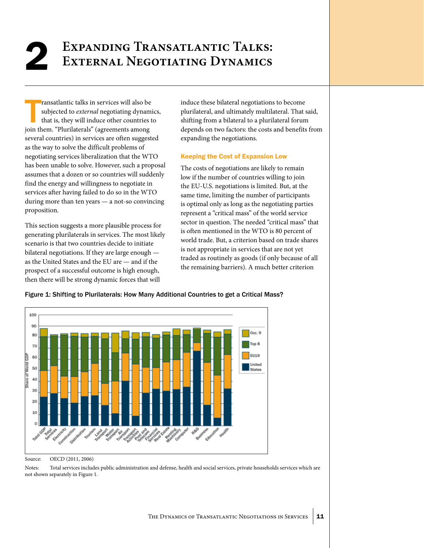# **Expanding Transatlantic Talks:** 2 **External Negotiating Dynamics**

ransatlantic talks in services will also be subjected to *external* negotiating dynamethat is, they will induce other countries join them. "Plurilaterals" (agreements among ransatlantic talks in services will also be subjected to *external* negotiating dynamics, that is, they will induce other countries to several countries) in services are often suggested as the way to solve the difficult problems of negotiating services liberalization that the WTO has been unable to solve. However, such a proposal assumes that a dozen or so countries will suddenly find the energy and willingness to negotiate in services after having failed to do so in the WTO during more than ten years — a not-so convincing proposition.

This section suggests a more plausible process for generating plurilaterals in services. The most likely scenario is that two countries decide to initiate bilateral negotiations. If they are large enough as the United States and the EU are — and if the prospect of a successful outcome is high enough, then there will be strong dynamic forces that will

induce these bilateral negotiations to become plurilateral, and ultimately multilateral. That said, shifting from a bilateral to a plurilateral forum depends on two factors: the costs and benefits from expanding the negotiations.

## Keeping the Cost of Expansion Low

The costs of negotiations are likely to remain low if the number of countries willing to join the EU-U.S. negotiations is limited. But, at the same time, limiting the number of participants is optimal only as long as the negotiating parties represent a "critical mass" of the world service sector in question. The needed "critical mass" that is often mentioned in the WTO is 80 percent of world trade. But, a criterion based on trade shares is not appropriate in services that are not yet traded as routinely as goods (if only because of all the remaining barriers). A much better criterion



## Figure 1: Shifting to Plurilaterals: How Many Additional Countries to get a Critical Mass?

Source: OECD (2011, 2006)

Notes: Total services includes public administration and defense, health and social services, private households services which are not shown separately in Figure 1.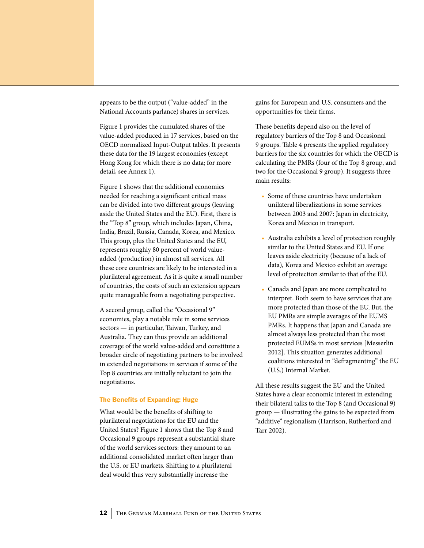appears to be the output ("value-added" in the National Accounts parlance) shares in services.

Figure 1 provides the cumulated shares of the value-added produced in 17 services, based on the OECD normalized Input-Output tables. It presents these data for the 19 largest economies (except Hong Kong for which there is no data; for more detail, see Annex 1).

Figure 1 shows that the additional economies needed for reaching a significant critical mass can be divided into two different groups (leaving aside the United States and the EU). First, there is the "Top 8" group, which includes Japan, China, India, Brazil, Russia, Canada, Korea, and Mexico. This group, plus the United States and the EU, represents roughly 80 percent of world valueadded (production) in almost all services. All these core countries are likely to be interested in a plurilateral agreement. As it is quite a small number of countries, the costs of such an extension appears quite manageable from a negotiating perspective.

A second group, called the "Occasional 9" economies, play a notable role in some services sectors — in particular, Taiwan, Turkey, and Australia. They can thus provide an additional coverage of the world value-added and constitute a broader circle of negotiating partners to be involved in extended negotiations in services if some of the Top 8 countries are initially reluctant to join the negotiations.

#### The Benefits of Expanding: Huge

What would be the benefits of shifting to plurilateral negotiations for the EU and the United States? Figure 1 shows that the Top 8 and Occasional 9 groups represent a substantial share of the world services sectors: they amount to an additional consolidated market often larger than the U.S. or EU markets. Shifting to a plurilateral deal would thus very substantially increase the

gains for European and U.S. consumers and the opportunities for their firms.

These benefits depend also on the level of regulatory barriers of the Top 8 and Occasional 9 groups. Table 4 presents the applied regulatory barriers for the six countries for which the OECD is calculating the PMRs (four of the Top 8 group, and two for the Occasional 9 group). It suggests three main results:

- Some of these countries have undertaken unilateral liberalizations in some services between 2003 and 2007: Japan in electricity, Korea and Mexico in transport.
- • Australia exhibits a level of protection roughly similar to the United States and EU. If one leaves aside electricity (because of a lack of data), Korea and Mexico exhibit an average level of protection similar to that of the EU.
- • Canada and Japan are more complicated to interpret. Both seem to have services that are more protected than those of the EU. But, the EU PMRs are simple averages of the EUMS PMRs. It happens that Japan and Canada are almost always less protected than the most protected EUMSs in most services [Messerlin 2012]. This situation generates additional coalitions interested in "defragmenting" the EU (U.S.) Internal Market.

All these results suggest the EU and the United States have a clear economic interest in extending their bilateral talks to the Top 8 (and Occasional 9) group — illustrating the gains to be expected from "additive" regionalism (Harrison, Rutherford and Tarr 2002).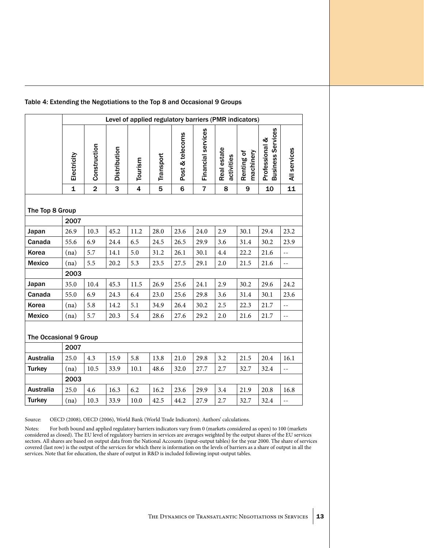| Table 4: Extending the Negotiations to the Top 8 and Occasional 9 Groups |  |  |  |  |  |  |
|--------------------------------------------------------------------------|--|--|--|--|--|--|
|--------------------------------------------------------------------------|--|--|--|--|--|--|

|                        |              |                |                     | Level of applied regulatory barriers (PMR indicators) |           |                 |                    |                           |                         |                                            |                            |
|------------------------|--------------|----------------|---------------------|-------------------------------------------------------|-----------|-----------------|--------------------|---------------------------|-------------------------|--------------------------------------------|----------------------------|
|                        | Electricity  | Construction   | <b>Distribution</b> | Tourism                                               | Transport | Post & telecoms | Financial services | Real estate<br>activities | machinery<br>Renting of | <b>Business Services</b><br>Professional & | All services               |
|                        | $\mathbf{1}$ | $\overline{2}$ | 3                   | $\overline{\mathbf{4}}$                               | 5         | $6\phantom{1}$  | $\overline{7}$     | 8                         | 9                       | 10                                         | 11                         |
| The Top 8 Group        | 2007         |                |                     |                                                       |           |                 |                    |                           |                         |                                            |                            |
| Japan                  | 26.9         | 10.3           | 45.2                | 11.2                                                  | 28.0      | 23.6            | 24.0               | 2.9                       | 30.1                    | 29.4                                       | 23.2                       |
| Canada                 | 55.6         | 6.9            | 24.4                | 6.5                                                   | 24.5      | 26.5            | 29.9               | 3.6                       | 31.4                    | 30.2                                       | 23.9                       |
| Korea                  | (na)         | 5.7            | 14.1                | 5.0                                                   | 31.2      | 26.1            | 30.1               | 4.4                       | 22.2                    | 21.6                                       | $\overline{\phantom{a}}$   |
| <b>Mexico</b>          | (na)         | 5.5            | 20.2                | 5.3                                                   | 23.5      | 27.5            | 29.1               | 2.0                       | 21.5                    | 21.6                                       | $-$                        |
|                        | 2003         |                |                     |                                                       |           |                 |                    |                           |                         |                                            |                            |
| Japan                  | 35.0         | 10.4           | 45.3                | 11.5                                                  | 26.9      | 25.6            | 24.1               | 2.9                       | 30.2                    | 29.6                                       | 24.2                       |
| Canada                 | 55.0         | 6.9            | 24.3                | 6.4                                                   | 23.0      | 25.6            | 29.8               | 3.6                       | 31.4                    | 30.1                                       | 23.6                       |
| Korea                  | (na)         | 5.8            | 14.2                | 5.1                                                   | 34.9      | 26.4            | 30.2               | 2.5                       | 22.3                    | 21.7                                       | $\sim$ $-$                 |
| <b>Mexico</b>          | (na)         | 5.7            | 20.3                | 5.4                                                   | 28.6      | 27.6            | 29.2               | $2.0\,$                   | 21.6                    | 21.7                                       | $\overline{\phantom{a}}$ . |
| The Occasional 9 Group |              |                |                     |                                                       |           |                 |                    |                           |                         |                                            |                            |
|                        | 2007         |                |                     |                                                       |           |                 |                    |                           |                         |                                            |                            |
| <b>Australia</b>       | 25.0         | 4.3            | 15.9                | 5.8                                                   | 13.8      | 21.0            | 29.8               | 3.2                       | 21.5                    | 20.4                                       | 16.1                       |
| <b>Turkey</b>          | (na)         | 10.5           | 33.9                | 10.1                                                  | 48.6      | 32.0            | 27.7               | 2.7                       | 32.7                    | 32.4                                       | $-$                        |
|                        | 2003         |                |                     |                                                       |           |                 |                    |                           |                         |                                            |                            |
| <b>Australia</b>       | 25.0         | 4.6            | 16.3                | 6.2                                                   | 16.2      | 23.6            | 29.9               | 3.4                       | 21.9                    | 20.8                                       | 16.8                       |
| <b>Turkey</b>          | (na)         | 10.3           | 33.9                | 10.0                                                  | 42.5      | 44.2            | 27.9               | 2.7                       | 32.7                    | 32.4                                       | $-$                        |

Source: OECD (2008), OECD (2006), World Bank (World Trade Indicators). Authors' calculations.

Notes: For both bound and applied regulatory barriers indicators vary from 0 (markets considered as open) to 100 (markets considered as closed). The EU level of regulatory barriers in services are averages weighted by the output shares of the EU services sectors. All shares are based on output data from the National Accounts (input-output tables) for the year 2000. The share of services covered (last row) is the output of the services for which there is information on the levels of barriers as a share of output in all the services. Note that for education, the share of output in R&D is included following input-output tables.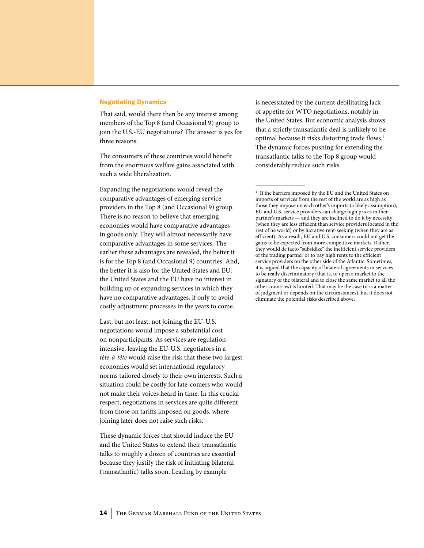### Negotiating Dynamics

That said, would there then be any interest among members of the Top 8 (and Occasional 9) group to join the U.S.-EU negotiations? The answer is yes for three reasons:

The consumers of these countries would benefit from the enormous welfare gains associated with such a wide liberalization.

Expanding the negotiations would reveal the comparative advantages of emerging service providers in the Top 8 (and Occasional 9) group. There is no reason to believe that emerging economies would have comparative advantages in goods only. They will almost necessarily have comparative advantages in some services. The earlier these advantages are revealed, the better it is for the Top 8 (and Occasional 9) countries. And, the better it is also for the United States and EU: the United States and the EU have no interest in building up or expanding services in which they have no comparative advantages, if only to avoid costly adjustment processes in the years to come.

Last, but not least, not joining the EU-U.S. negotiations would impose a substantial cost on nonparticipants. As services are regulationintensive, leaving the EU-U.S. negotiators in a *tête-à-tête* would raise the risk that these two largest economies would set international regulatory norms tailored closely to their own interests. Such a situation could be costly for late-comers who would not make their voices heard in time. In this crucial respect, negotiations in services are quite different from those on tariffs imposed on goods, where joining later does not raise such risks.

These dynamic forces that should induce the EU and the United States to extend their transatlantic talks to roughly a dozen of countries are essential because they justify the risk of initiating bilateral (transatlantic) talks soon. Leading by example

is necessitated by the current debilitating lack of appetite for WTO negotiations, notably in the United States. But economic analysis shows that a strictly transatlantic deal is unlikely to be optimal because it risks distorting trade flows.4 The dynamic forces pushing for extending the transatlantic talks to the Top 8 group would considerably reduce such risks.

 $^4\,$  If the barriers imposed by the EU and the United States on imports of services from the rest of the world are as high as those they impose on each other's imports (a likely assumption), EU and U.S. service providers can charge high prices in their partner's markets — and they are inclined to do it by necessity (when they are less efficient than service providers located in the rest of he world) or by lucrative rent-seeking (when they are as efficient). As a result, EU and U.S. consumers could not get the gains to be expected from more competitive markets. Rather, they would de facto "subsidize" the inefficient service providers of the trading partner or to pay high rents to the efficient service providers on the other side of the Atlantic. Sometimes, it is argued that the capacity of bilateral agreements in services to be really discriminatory (that is, to open a market to the signatory of the bilateral and to close the same market to all the other countries) is limited. That may be the case (it is a matter of judgment or depends on the circumstances), but it does not eliminate the potential risks described above.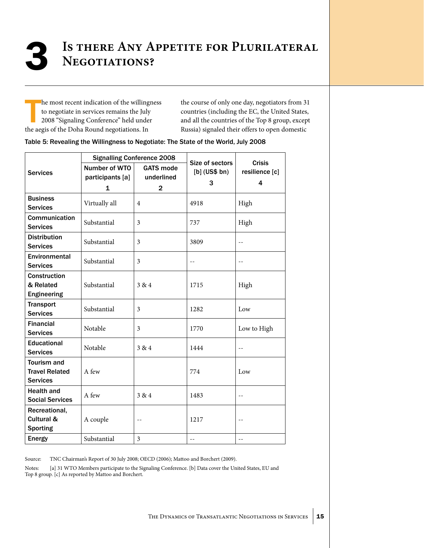# **Is there Any Appetite for Plurilateral** 3 **Negotiations?**

he most recent indication of the willing<br>to negotiate in services remains the July<br>2008 "Signaling Conference" held unde<br>the aegis of the Doha Round negotiations. In he most recent indication of the willingness to negotiate in services remains the July 2008 "Signaling Conference" held under

the course of only one day, negotiators from 31 countries (including the EC, the United States, and all the countries of the Top 8 group, except Russia) signaled their offers to open domestic

| Table 5: Revealing the Willingness to Negotiate: The State of the World, July 2008 |  |  |  |  |  |
|------------------------------------------------------------------------------------|--|--|--|--|--|
|------------------------------------------------------------------------------------|--|--|--|--|--|

|                                                                |                                   | <b>Signalling Conference 2008</b> |                                         |                                      |
|----------------------------------------------------------------|-----------------------------------|-----------------------------------|-----------------------------------------|--------------------------------------|
| <b>Services</b>                                                | Number of WTO<br>participants [a] | <b>GATS mode</b><br>underlined    | Size of sectors<br>$[b]$ (US\$ bn)<br>3 | <b>Crisis</b><br>resilience [c]<br>4 |
|                                                                | 1                                 | $\mathbf{2}$                      |                                         |                                      |
| <b>Business</b><br><b>Services</b>                             | Virtually all                     | 4                                 | 4918                                    | High                                 |
| Communication<br><b>Services</b>                               | Substantial                       | $\mathfrak{Z}$                    | 737                                     | High                                 |
| <b>Distribution</b><br><b>Services</b>                         | Substantial                       | 3                                 | 3809                                    | $\overline{a}$                       |
| Environmental<br><b>Services</b>                               | Substantial                       | 3                                 | $-$                                     | $-$                                  |
| Construction<br>& Related<br>Engineering                       | Substantial                       | 3 & 4                             | 1715                                    | High                                 |
| <b>Transport</b><br><b>Services</b>                            | Substantial                       | 3                                 | 1282                                    | Low                                  |
| <b>Financial</b><br><b>Services</b>                            | Notable                           | 3                                 | 1770                                    | Low to High                          |
| <b>Educational</b><br><b>Services</b>                          | Notable                           | 3 & 4                             | 1444                                    | $-$                                  |
| <b>Tourism and</b><br><b>Travel Related</b><br><b>Services</b> | A few                             |                                   | 774                                     | Low                                  |
| <b>Health and</b><br><b>Social Services</b>                    | A few                             | 3 & 4                             | 1483                                    | $-1$                                 |
| Recreational,<br>Cultural &<br><b>Sporting</b>                 | A couple                          | --                                | 1217                                    | $-$                                  |
| Energy                                                         | Substantial                       | $\overline{\mathbf{3}}$           | --                                      | --                                   |

Source: TNC Chairman's Report of 30 July 2008; OECD (2006); Mattoo and Borchert (2009).

Notes: [a] 31 WTO Members participate to the Signaling Conference. [b] Data cover the United States, EU and Top 8 group. [c] As reported by Mattoo and Borchert.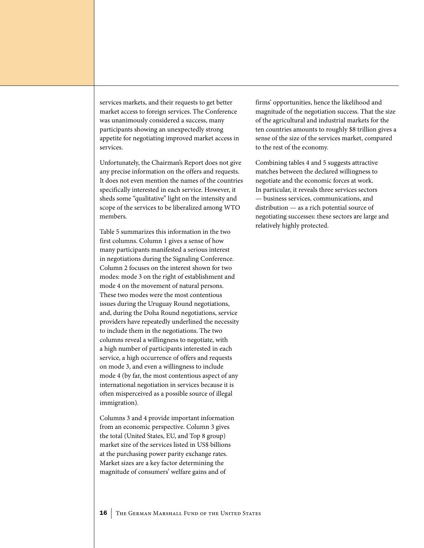services markets, and their requests to get better market access to foreign services. The Conference was unanimously considered a success, many participants showing an unexpectedly strong appetite for negotiating improved market access in services.

Unfortunately, the Chairman's Report does not give any precise information on the offers and requests. It does not even mention the names of the countries specifically interested in each service. However, it sheds some "qualitative" light on the intensity and scope of the services to be liberalized among WTO members.

Table 5 summarizes this information in the two first columns. Column 1 gives a sense of how many participants manifested a serious interest in negotiations during the Signaling Conference. Column 2 focuses on the interest shown for two modes: mode 3 on the right of establishment and mode 4 on the movement of natural persons. These two modes were the most contentious issues during the Uruguay Round negotiations, and, during the Doha Round negotiations, service providers have repeatedly underlined the necessity to include them in the negotiations. The two columns reveal a willingness to negotiate, with a high number of participants interested in each service, a high occurrence of offers and requests on mode 3, and even a willingness to include mode 4 (by far, the most contentious aspect of any international negotiation in services because it is often misperceived as a possible source of illegal immigration).

Columns 3 and 4 provide important information from an economic perspective. Column 3 gives the total (United States, EU, and Top 8 group) market size of the services listed in US\$ billions at the purchasing power parity exchange rates. Market sizes are a key factor determining the magnitude of consumers' welfare gains and of

firms' opportunities, hence the likelihood and magnitude of the negotiation success. That the size of the agricultural and industrial markets for the ten countries amounts to roughly \$8 trillion gives a sense of the size of the services market, compared to the rest of the economy.

Combining tables 4 and 5 suggests attractive matches between the declared willingness to negotiate and the economic forces at work. In particular, it reveals three services sectors — business services, communications, and distribution — as a rich potential source of negotiating successes: these sectors are large and relatively highly protected.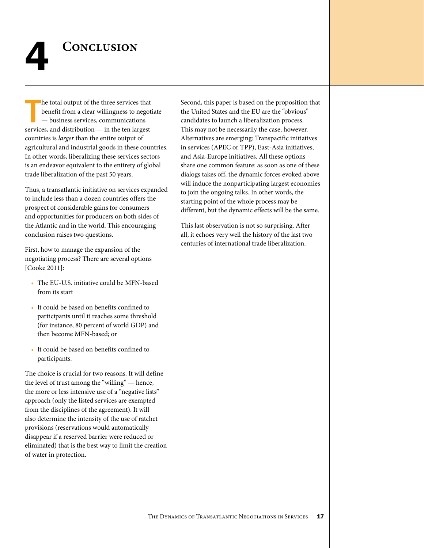

he total output of the three services that<br>benefit from a clear willingness to negot<br>— business services, communications<br>services, and distribution — in the ten largest he total output of the three services that benefit from a clear willingness to negotiate — business services, communications countries is *larger* than the entire output of agricultural and industrial goods in these countries. In other words, liberalizing these services sectors is an endeavor equivalent to the entirety of global trade liberalization of the past 50 years.

Thus, a transatlantic initiative on services expanded to include less than a dozen countries offers the prospect of considerable gains for consumers and opportunities for producers on both sides of the Atlantic and in the world. This encouraging conclusion raises two questions.

First, how to manage the expansion of the negotiating process? There are several options [Cooke 2011]:

- The EU-U.S. initiative could be MFN-based from its start
- It could be based on benefits confined to participants until it reaches some threshold (for instance, 80 percent of world GDP) and then become MFN-based; or
- It could be based on benefits confined to participants.

The choice is crucial for two reasons. It will define the level of trust among the "willing" — hence, the more or less intensive use of a "negative lists" approach (only the listed services are exempted from the disciplines of the agreement). It will also determine the intensity of the use of ratchet provisions (reservations would automatically disappear if a reserved barrier were reduced or eliminated) that is the best way to limit the creation of water in protection.

Second, this paper is based on the proposition that the United States and the EU are the "obvious" candidates to launch a liberalization process. This may not be necessarily the case, however. Alternatives are emerging: Transpacific initiatives in services (APEC or TPP), East-Asia initiatives, and Asia-Europe initiatives. All these options share one common feature: as soon as one of these dialogs takes off, the dynamic forces evoked above will induce the nonparticipating largest economies to join the ongoing talks. In other words, the starting point of the whole process may be different, but the dynamic effects will be the same.

This last observation is not so surprising. After all, it echoes very well the history of the last two centuries of international trade liberalization.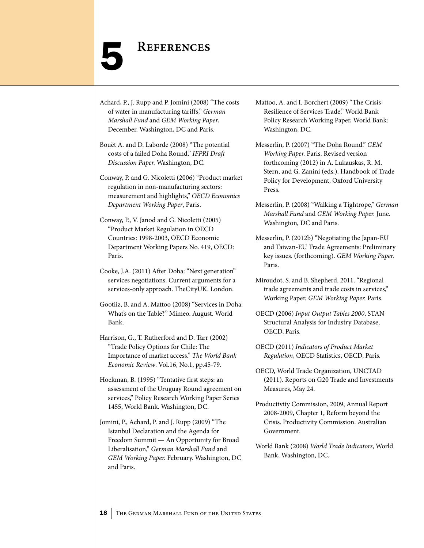# **REFERENCES**

Achard, P., J. Rupp and P. Jomini (2008) "The costs of water in manufacturing tariffs," *German Marshall Fund* and *GEM Working Paper*, December. Washington, DC and Paris.

Bouët A. and D. Laborde (2008) "The potential costs of a failed Doha Round," *IFPRI Draft Discussion Paper.* Washington, DC.

Conway, P. and G. Nicoletti (2006) "Product market regulation in non-manufacturing sectors: measurement and highlights," *OECD Economics Department Working Paper*, Paris.

Conway, P., V. Janod and G. Nicoletti (2005) "Product Market Regulation in OECD Countries: 1998-2003, OECD Economic Department Working Papers No. 419, OECD: Paris.

Cooke, J.A. (2011) After Doha: "Next generation" services negotiations. Current arguments for a services-only approach. TheCityUK. London.

Gootiiz, B. and A. Mattoo (2008) "Services in Doha: What's on the Table?" Mimeo. August. World Bank.

Harrison, G., T. Rutherford and D. Tarr (2002) "Trade Policy Options for Chile: The Importance of market access." *The World Bank Economic Review*. Vol.16, No.1, pp.45-79.

Hoekman, B. (1995) "Tentative first steps: an assessment of the Uruguay Round agreement on services," Policy Research Working Paper Series 1455, World Bank. Washington, DC.

Jomini, P., Achard, P. and J. Rupp (2009) "The Istanbul Declaration and the Agenda for Freedom Summit — An Opportunity for Broad Liberalisation," *German Marshall Fund* and *GEM Working Paper.* February. Washington, DC and Paris.

Mattoo, A. and I. Borchert (2009) "The Crisis-Resilience of Services Trade," World Bank Policy Research Working Paper, World Bank: Washington, DC.

Messerlin, P. (2007) "The Doha Round." *GEM Working Paper.* Paris. Revised version forthcoming (2012) in A. Lukauskas, R. M. Stern, and G. Zanini (eds.). Handbook of Trade Policy for Development, Oxford University Press.

Messerlin, P. (2008) "Walking a Tightrope," *German Marshall Fund* and *GEM Working Paper.* June. Washington, DC and Paris.

Messerlin, P. (2012b) "Negotiating the Japan-EU and Taiwan-EU Trade Agreements: Preliminary key issues. (forthcoming). *GEM Working Paper.*  Paris.

Miroudot, S. and B. Shepherd. 2011. "Regional trade agreements and trade costs in services," Working Paper, *GEM Working Paper.* Paris.

OECD (2006) *Input Output Tables 2000*, STAN Structural Analysis for Industry Database, OECD, Paris.

OECD (2011) *Indicators of Product Market Regulation*, OECD Statistics, OECD, Paris.

OECD, World Trade Organization, UNCTAD (2011). Reports on G20 Trade and Investments Measures, May 24.

Productivity Commission, 2009, Annual Report 2008-2009, Chapter 1, Reform beyond the Crisis. Productivity Commission. Australian Government.

World Bank (2008) *World Trade Indicators*, World Bank, Washington, DC.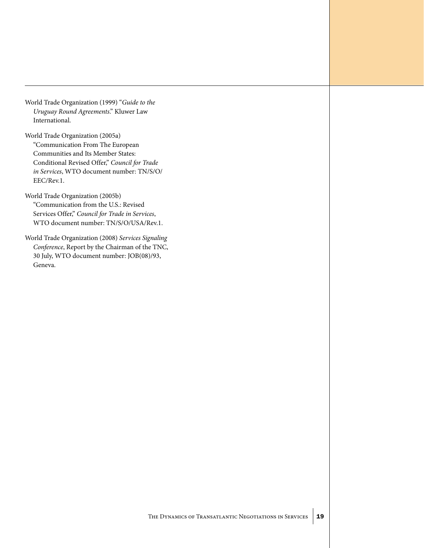- World Trade Organization (1999) "*Guide to the Uruguay Round Agreements*." Kluwer Law International.
- World Trade Organization (2005a) "Communication From The European Communities and Its Member States: Conditional Revised Offer," *Council for Trade in Services*, WTO document number: TN/S/O/ EEC/Rev.1.
- World Trade Organization (2005b) "Communication from the U.S.: Revised Services Offer," *Council for Trade in Services*, WTO document number: TN/S/O/USA/Rev.1.
- World Trade Organization (2008) *Services Signaling Conference*, Report by the Chairman of the TNC, 30 July, WTO document number: JOB(08)/93, Geneva.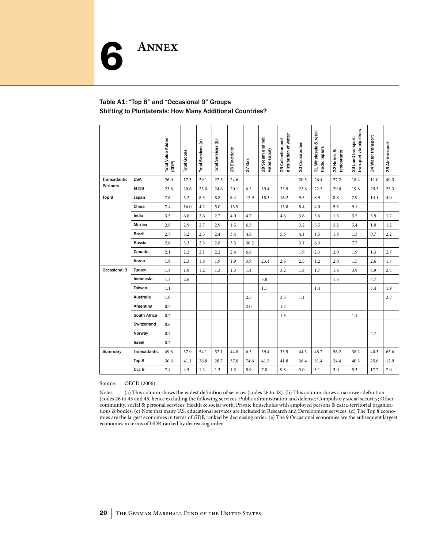## Table A1: "Top 8" and "Occasional 9" Groups Shifting to Plurilaterals: How Many Additional Countries?

ANNEX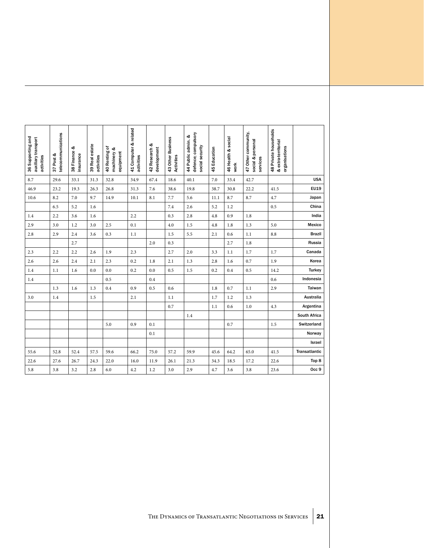|                     | 48 Private households<br>& extra-territorial<br>organisations | 47 Other community,<br>social & personal<br>services | 46 Health & social<br>work | 45 Education | 44 Public admin. &<br>defence; compulsory<br>social security | 43 Other Business<br>Activities | 42 Research &<br>development | 41 Computer & related<br>activities | 40 Renting of<br>machinery &<br>equipment<br>machinery | 39 Real estate<br>activities | 38 Finance &<br>insurance | 37 Post &<br>telecommunications | 36 Supporting and<br>auxiliary transport<br>activities |
|---------------------|---------------------------------------------------------------|------------------------------------------------------|----------------------------|--------------|--------------------------------------------------------------|---------------------------------|------------------------------|-------------------------------------|--------------------------------------------------------|------------------------------|---------------------------|---------------------------------|--------------------------------------------------------|
| <b>USA</b>          |                                                               | 42.7                                                 | 33.4                       | 7.0          | 40.1                                                         | 18.6                            | 67.4                         | 34.9                                | 32.8                                                   | 31.3                         | 33.1                      | 29.6                            | 8.7                                                    |
| EU19                | 41.5                                                          | 22.2                                                 | 30.8                       | 38.7         | 19.8                                                         | 38.6                            | 7.6                          | 31.3                                | 26.8                                                   | 26.3                         | 19.3                      | 23.2                            | 46.9                                                   |
| Japan               | 4.7                                                           | 8.7                                                  | 8.7                        | $11.1\,$     | 5.6                                                          | 7.7                             | 8.1                          | 10.1                                | 14.9                                                   | 9.7                          | 7.0                       | 8.2                             | 10.6                                                   |
| China               | 0.5                                                           |                                                      | 1.2                        | 5.2          | 2.6                                                          | $7.4\,$                         |                              |                                     |                                                        | 1.6                          | 5.2                       | 6.5                             |                                                        |
| India               |                                                               | 1.8                                                  | 0.9                        | $4.8\,$      | 2.8                                                          | 0.3                             |                              | $2.2\,$                             |                                                        | 1.6                          | 3.6                       | 2.2                             | 1.4                                                    |
| Mexico              | 5.0                                                           | 1.3                                                  | 1.8                        | 4.8          | 1.5                                                          | $4.0\,$                         |                              | 0.1                                 | $2.5\,$                                                | 3.0                          | 1.2                       | 3.0                             | 2.9                                                    |
| <b>Brazil</b>       | 8.8                                                           | 1.1                                                  | 0.6                        | 2.1          | 5.5                                                          | 1.5                             |                              | 1.1                                 | 0.3                                                    | 3.6                          | 2.4                       | 2.9                             | 2.8                                                    |
| Russia              |                                                               | $1.8\,$                                              | 2.7                        |              |                                                              | 0.3                             | $2.0\,$                      |                                     |                                                        |                              | 2.7                       |                                 |                                                        |
| Canada              | 1.7                                                           | 1.7                                                  | 1.1                        | 3.3          | 2.0                                                          | 2.7                             |                              | 2.3                                 | 1.9                                                    | $2.6\phantom{0}$             | 2.2                       | 2.2                             | 2.3                                                    |
| Korea               | 1.9                                                           | 0.7                                                  | 1.6                        | $2.8\,$      | 1.3                                                          | 2.1                             | 1.8                          | $0.2\,$                             | 2.3                                                    | 2.1                          | 2.4                       | 2.6                             | 2.6                                                    |
| Turkey              | 14.2                                                          | 0.5                                                  | 0.4                        | $0.2\,$      | 1.5                                                          | 0.5                             | 0.0                          | $0.2\,$                             | $0.0\,$                                                | 0.0                          | 1.6                       | 1.1                             | 1.4                                                    |
| Indonesia           | 0.6                                                           |                                                      |                            |              |                                                              |                                 | $0.4\,$                      |                                     | 0.5                                                    |                              |                           |                                 | 1.4                                                    |
| Taiwan              | 2.9                                                           | 1.1                                                  | 0.7                        | 1.8          |                                                              | 0.6                             | 0.5                          | 0.9                                 | 0.4                                                    | 1.3                          | 1.6                       | 1.3                             |                                                        |
| Australia           |                                                               | 1.3                                                  | 1.2                        | 1.7          |                                                              | 1.1                             |                              | 2.1                                 |                                                        | 1.5                          |                           | 1.4                             | 3.0                                                    |
| Argentina           | 4.3                                                           | 1.0                                                  | 0.6                        | 1.1          |                                                              | 0.7                             |                              |                                     |                                                        |                              |                           |                                 |                                                        |
| <b>South Africa</b> |                                                               |                                                      |                            |              | 1.4                                                          |                                 |                              |                                     |                                                        |                              |                           |                                 |                                                        |
| Switzerland         | 1.5                                                           |                                                      | 0.7                        |              |                                                              |                                 | 0.1                          | 0.9                                 | 5.0                                                    |                              |                           |                                 |                                                        |
| Norway              |                                                               |                                                      |                            |              |                                                              |                                 | 0.1                          |                                     |                                                        |                              |                           |                                 |                                                        |
| Israel              |                                                               |                                                      |                            |              |                                                              |                                 |                              |                                     |                                                        |                              |                           |                                 |                                                        |
| Transatlantic       | 41.5                                                          | 65.0                                                 | 64.2                       | 45.6         | 59.9                                                         | 57.2                            | 75.0                         | 66.2                                | 59.6                                                   | 57.5                         | 52.4                      | 52.8                            | 55.6                                                   |
| Top 8               | 22.6                                                          | 17.2                                                 | 18.5                       | 34.3         | 21.3                                                         | 26.1                            | 11.9                         | 16.0                                | 22.0                                                   | 24.3                         | 26.7                      | 27.6                            | 22.6                                                   |
| Occ 9               | 23.6                                                          | $3.8\,$                                              | 3.6                        | 4.7          | 2.9                                                          | $3.0\,$                         | 1.2                          | 4.2                                 | 6.0                                                    | $2.8\,$                      | 3.2                       | $3.8\,$                         | 5.8                                                    |